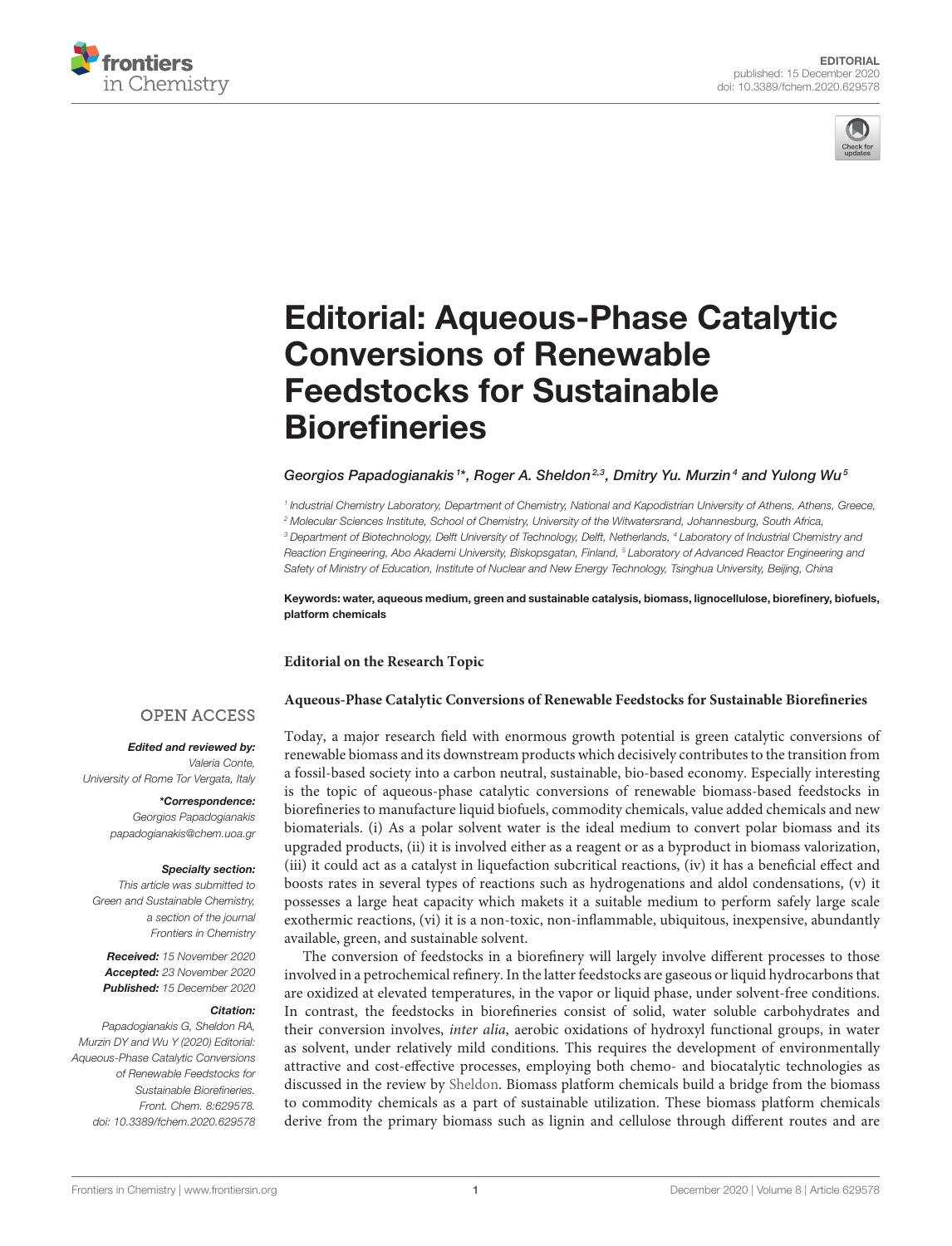



# [Editorial: Aqueous-Phase Catalytic](https://www.frontiersin.org/articles/10.3389/fchem.2020.629578/full) Conversions of Renewable Feedstocks for Sustainable **Biorefineries**

## Georgios Papadogianakis <sup>1\*</sup>, Roger A. Sheldon<sup>2,3</sup>, Dmitry Yu. Murzin<sup>4</sup> and Yulong Wu<sup>s</sup>

*1 Industrial Chemistry Laboratory, Department of Chemistry, National and Kapodistrian University of Athens, Athens, Greece, <sup>2</sup> Molecular Sciences Institute, School of Chemistry, University of the Witwatersrand, Johannesburg, South Africa, <sup>3</sup> Department of Biotechnology, Delft University of Technology, Delft, Netherlands, <sup>4</sup> Laboratory of Industrial Chemistry and Reaction Engineering, Abo Akademi University, Biskopsgatan, Finland, <sup>5</sup> Laboratory of Advanced Reactor Engineering and Safety of Ministry of Education, Institute of Nuclear and New Energy Technology, Tsinghua University, Beijing, China*

Keywords: water, aqueous medium, green and sustainable catalysis, biomass, lignocellulose, biorefinery, biofuels, platform chemicals

### **Editorial on the Research Topic**

#### **[Aqueous-Phase Catalytic Conversions of Renewable Feedstocks for Sustainable Biorefineries](https://www.frontiersin.org/research-topics/10065/aqueous-phase-catalytic-conversions-of-renewable-feedstocks-for-sustainable-biorefineries)**

### **OPEN ACCESS**

#### Edited and reviewed by:

*Valeria Conte, University of Rome Tor Vergata, Italy*

> \*Correspondence: *Georgios Papadogianakis [papadogianakis@chem.uoa.gr](mailto:papadogianakis@chem.uoa.gr)*

#### Specialty section:

*This article was submitted to Green and Sustainable Chemistry, a section of the journal Frontiers in Chemistry*

Received: *15 November 2020* Accepted: *23 November 2020* Published: *15 December 2020*

#### Citation:

*Papadogianakis G, Sheldon RA, Murzin DY and Wu Y (2020) Editorial: Aqueous-Phase Catalytic Conversions of Renewable Feedstocks for Sustainable Biorefineries. Front. Chem. 8:629578. doi: [10.3389/fchem.2020.629578](https://doi.org/10.3389/fchem.2020.629578)* Today, a major research field with enormous growth potential is green catalytic conversions of renewable biomass and its downstream products which decisively contributes to the transition from a fossil-based society into a carbon neutral, sustainable, bio-based economy. Especially interesting is the topic of aqueous-phase catalytic conversions of renewable biomass-based feedstocks in biorefineries to manufacture liquid biofuels, commodity chemicals, value added chemicals and new biomaterials. (i) As a polar solvent water is the ideal medium to convert polar biomass and its upgraded products, (ii) it is involved either as a reagent or as a byproduct in biomass valorization, (iii) it could act as a catalyst in liquefaction subcritical reactions, (iv) it has a beneficial effect and boosts rates in several types of reactions such as hydrogenations and aldol condensations, (v) it possesses a large heat capacity which makets it a suitable medium to perform safely large scale exothermic reactions, (vi) it is a non-toxic, non-inflammable, ubiquitous, inexpensive, abundantly available, green, and sustainable solvent.

The conversion of feedstocks in a biorefinery will largely involve different processes to those involved in a petrochemical refinery. In the latter feedstocks are gaseous or liquid hydrocarbons that are oxidized at elevated temperatures, in the vapor or liquid phase, under solvent-free conditions. In contrast, the feedstocks in biorefineries consist of solid, water soluble carbohydrates and their conversion involves, inter alia, aerobic oxidations of hydroxyl functional groups, in water as solvent, under relatively mild conditions. This requires the development of environmentally attractive and cost-effective processes, employing both chemo- and biocatalytic technologies as discussed in the review by [Sheldon.](https://doi.org/10.3389/fchem.2020.00132) Biomass platform chemicals build a bridge from the biomass to commodity chemicals as a part of sustainable utilization. These biomass platform chemicals derive from the primary biomass such as lignin and cellulose through different routes and are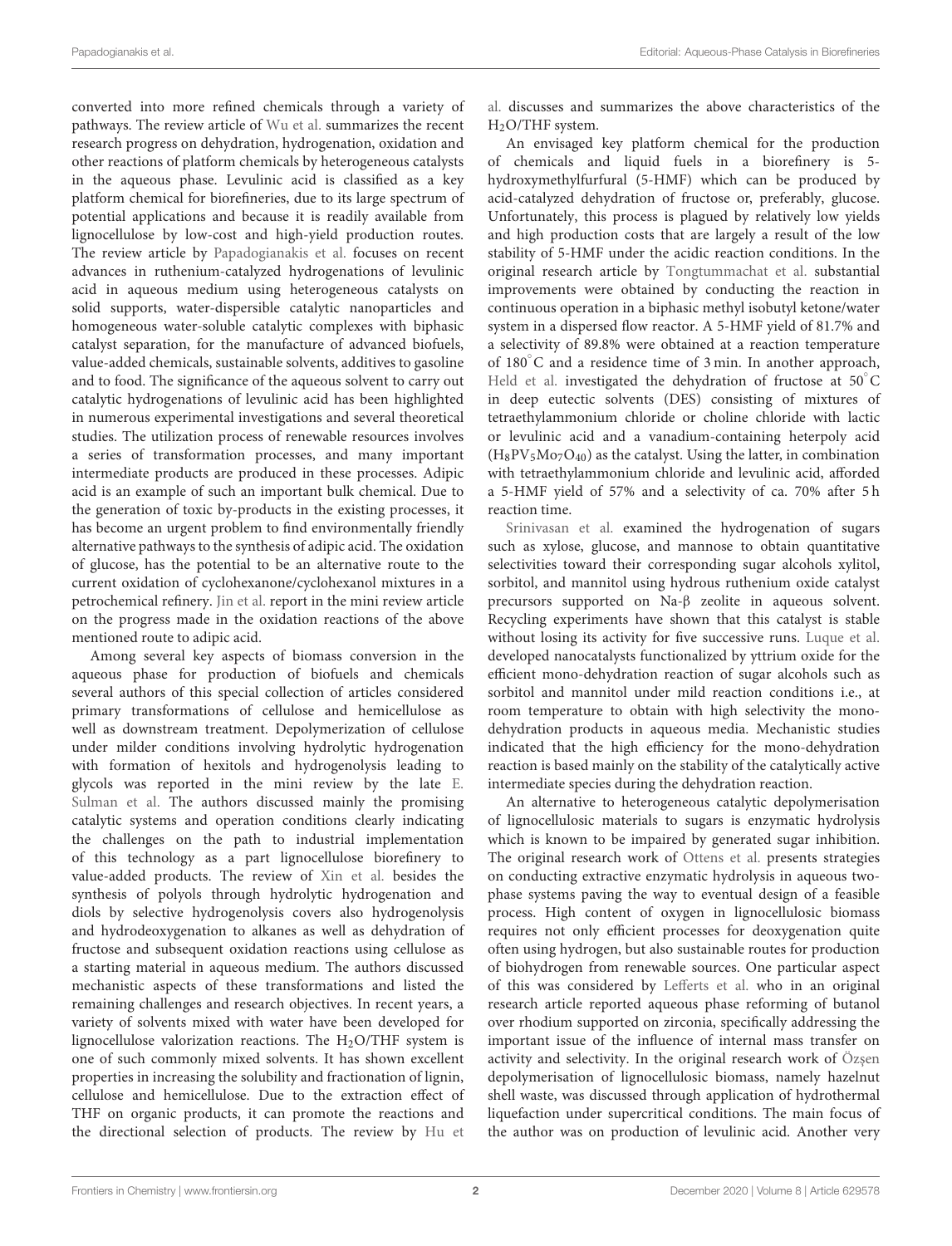converted into more refined chemicals through a variety of pathways. The review article of [Wu et al.](https://doi.org/10.3389/fchem.2019.00948) summarizes the recent research progress on dehydration, hydrogenation, oxidation and other reactions of platform chemicals by heterogeneous catalysts in the aqueous phase. Levulinic acid is classified as a key platform chemical for biorefineries, due to its large spectrum of potential applications and because it is readily available from lignocellulose by low-cost and high-yield production routes. The review article by [Papadogianakis et al.](https://doi.org/10.3389/fchem.2020.00221) focuses on recent advances in ruthenium-catalyzed hydrogenations of levulinic acid in aqueous medium using heterogeneous catalysts on solid supports, water-dispersible catalytic nanoparticles and homogeneous water-soluble catalytic complexes with biphasic catalyst separation, for the manufacture of advanced biofuels, value-added chemicals, sustainable solvents, additives to gasoline and to food. The significance of the aqueous solvent to carry out catalytic hydrogenations of levulinic acid has been highlighted in numerous experimental investigations and several theoretical studies. The utilization process of renewable resources involves a series of transformation processes, and many important intermediate products are produced in these processes. Adipic acid is an example of such an important bulk chemical. Due to the generation of toxic by-products in the existing processes, it has become an urgent problem to find environmentally friendly alternative pathways to the synthesis of adipic acid. The oxidation of glucose, has the potential to be an alternative route to the current oxidation of cyclohexanone/cyclohexanol mixtures in a petrochemical refinery. [Jin et al.](https://doi.org/10.3389/fchem.2020.00185) report in the mini review article on the progress made in the oxidation reactions of the above mentioned route to adipic acid.

Among several key aspects of biomass conversion in the aqueous phase for production of biofuels and chemicals several authors of this special collection of articles considered primary transformations of cellulose and hemicellulose as well as downstream treatment. Depolymerization of cellulose under milder conditions involving hydrolytic hydrogenation with formation of hexitols and hydrogenolysis leading to [glycols was reported in the mini review by the late](https://doi.org/10.3389/fchem.2019.00834) E. Sulman et al. The authors discussed mainly the promising catalytic systems and operation conditions clearly indicating the challenges on the path to industrial implementation of this technology as a part lignocellulose biorefinery to value-added products. The review of [Xin et al.](https://doi.org/10.3389/fchem.2020.00333) besides the synthesis of polyols through hydrolytic hydrogenation and diols by selective hydrogenolysis covers also hydrogenolysis and hydrodeoxygenation to alkanes as well as dehydration of fructose and subsequent oxidation reactions using cellulose as a starting material in aqueous medium. The authors discussed mechanistic aspects of these transformations and listed the remaining challenges and research objectives. In recent years, a variety of solvents mixed with water have been developed for lignocellulose valorization reactions. The  $H<sub>2</sub>O/THF$  system is one of such commonly mixed solvents. It has shown excellent properties in increasing the solubility and fractionation of lignin, cellulose and hemicellulose. Due to the extraction effect of THF on organic products, it can promote the reactions and the directional selection of products. The review by Hu et al. discusses and summarizes the above characteristics of the H2O/THF system.

An envisaged key platform chemical for the production of chemicals and liquid fuels in a biorefinery is 5 hydroxymethylfurfural (5-HMF) which can be produced by acid-catalyzed dehydration of fructose or, preferably, glucose. Unfortunately, this process is plagued by relatively low yields and high production costs that are largely a result of the low stability of 5-HMF under the acidic reaction conditions. In the original research article by [Tongtummachat et al.](https://doi.org/10.3389/fchem.2019.00951) substantial improvements were obtained by conducting the reaction in continuous operation in a biphasic methyl isobutyl ketone/water system in a dispersed flow reactor. A 5-HMF yield of 81.7% and a selectivity of 89.8% were obtained at a reaction temperature of  $180^{\circ}$ C and a residence time of 3 min. In another approach, [Held et al.](https://doi.org/10.3389/fchem.2019.00661) investigated the dehydration of fructose at 50<sup>°</sup>C in deep eutectic solvents (DES) consisting of mixtures of tetraethylammonium chloride or choline chloride with lactic or levulinic acid and a vanadium-containing heterpoly acid  $(H_8PV_5Mo_7O_{40})$  as the catalyst. Using the latter, in combination with tetraethylammonium chloride and levulinic acid, afforded a 5-HMF yield of 57% and a selectivity of ca. 70% after 5 h reaction time.

[Srinivasan et al.](https://doi.org/10.3389/fchem.2020.525277) examined the hydrogenation of sugars such as xylose, glucose, and mannose to obtain quantitative selectivities toward their corresponding sugar alcohols xylitol, sorbitol, and mannitol using hydrous ruthenium oxide catalyst precursors supported on Na-β zeolite in aqueous solvent. Recycling experiments have shown that this catalyst is stable without losing its activity for five successive runs. [Luque et al.](https://doi.org/10.3389/fchem.2020.00532) developed nanocatalysts functionalized by yttrium oxide for the efficient mono-dehydration reaction of sugar alcohols such as sorbitol and mannitol under mild reaction conditions i.e., at room temperature to obtain with high selectivity the monodehydration products in aqueous media. Mechanistic studies indicated that the high efficiency for the mono-dehydration reaction is based mainly on the stability of the catalytically active intermediate species during the dehydration reaction.

An alternative to heterogeneous catalytic depolymerisation of lignocellulosic materials to sugars is enzymatic hydrolysis which is known to be impaired by generated sugar inhibition. The original research work of [Ottens et al.](https://doi.org/10.3389/fchem.2020.00587) presents strategies on conducting extractive enzymatic hydrolysis in aqueous twophase systems paving the way to eventual design of a feasible process. High content of oxygen in lignocellulosic biomass requires not only efficient processes for deoxygenation quite often using hydrogen, but also sustainable routes for production of biohydrogen from renewable sources. One particular aspect of this was considered by [Lefferts et al.](https://doi.org/10.3389/fchem.2020.00017) who in an original research article reported aqueous phase reforming of butanol over rhodium supported on zirconia, specifically addressing the important issue of the influence of internal mass transfer on activity and selectivity. In the original research work of Özşen depolymerisation of lignocellulosic biomass, namely hazelnut shell waste, was discussed through application of hydrothermal liquefaction under supercritical conditions. The main focus of the author was on production of levulinic acid. Another very